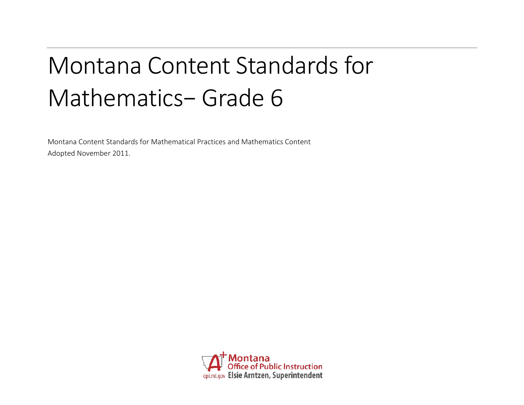# Montana Content Standards for Mathematics− Grade 6

Montana Content Standards for Mathematical Practices and Mathematics Content Adopted November 2011.

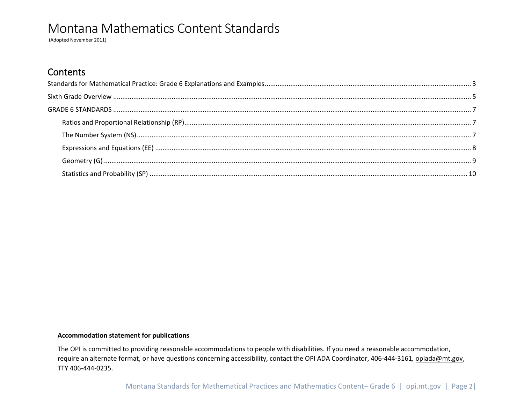(Adopted November 2011)

## **Contents**

#### **Accommodation statement for publications**

The OPI is committed to providing reasonable accommodations to people with disabilities. If you need a reasonable accommodation, require an alternate format, or have questions concerning accessibility, contact the OPI ADA Coordinator, 406-444-3161*,* [opiada@mt.gov,](mailto:opiada@mt.gov) TTY 406-444-0235.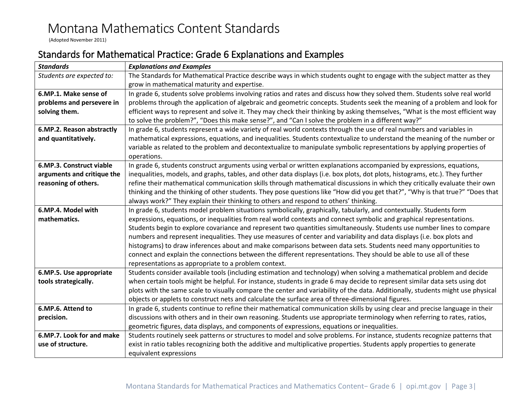(Adopted November 2011)

# <span id="page-2-0"></span>Standards for Mathematical Practice: Grade 6 Explanations and Examples

| <b>Standards</b>           | <b>Explanations and Examples</b>                                                                                                                                        |  |  |  |  |  |
|----------------------------|-------------------------------------------------------------------------------------------------------------------------------------------------------------------------|--|--|--|--|--|
| Students are expected to:  | The Standards for Mathematical Practice describe ways in which students ought to engage with the subject matter as they<br>grow in mathematical maturity and expertise. |  |  |  |  |  |
| 6.MP.1. Make sense of      | In grade 6, students solve problems involving ratios and rates and discuss how they solved them. Students solve real world                                              |  |  |  |  |  |
| problems and persevere in  | problems through the application of algebraic and geometric concepts. Students seek the meaning of a problem and look for                                               |  |  |  |  |  |
| solving them.              | efficient ways to represent and solve it. They may check their thinking by asking themselves, "What is the most efficient way                                           |  |  |  |  |  |
|                            | to solve the problem?", "Does this make sense?", and "Can I solve the problem in a different way?"                                                                      |  |  |  |  |  |
| 6.MP.2. Reason abstractly  | In grade 6, students represent a wide variety of real world contexts through the use of real numbers and variables in                                                   |  |  |  |  |  |
| and quantitatively.        | mathematical expressions, equations, and inequalities. Students contextualize to understand the meaning of the number or                                                |  |  |  |  |  |
|                            | variable as related to the problem and decontextualize to manipulate symbolic representations by applying properties of                                                 |  |  |  |  |  |
|                            | operations.                                                                                                                                                             |  |  |  |  |  |
| 6.MP.3. Construct viable   | In grade 6, students construct arguments using verbal or written explanations accompanied by expressions, equations,                                                    |  |  |  |  |  |
| arguments and critique the | inequalities, models, and graphs, tables, and other data displays (i.e. box plots, dot plots, histograms, etc.). They further                                           |  |  |  |  |  |
| reasoning of others.       | refine their mathematical communication skills through mathematical discussions in which they critically evaluate their own                                             |  |  |  |  |  |
|                            | thinking and the thinking of other students. They pose questions like "How did you get that?", "Why is that true?" "Does that                                           |  |  |  |  |  |
|                            | always work?" They explain their thinking to others and respond to others' thinking.                                                                                    |  |  |  |  |  |
| 6.MP.4. Model with         | In grade 6, students model problem situations symbolically, graphically, tabularly, and contextually. Students form                                                     |  |  |  |  |  |
| mathematics.               | expressions, equations, or inequalities from real world contexts and connect symbolic and graphical representations.                                                    |  |  |  |  |  |
|                            | Students begin to explore covariance and represent two quantities simultaneously. Students use number lines to compare                                                  |  |  |  |  |  |
|                            | numbers and represent inequalities. They use measures of center and variability and data displays (i.e. box plots and                                                   |  |  |  |  |  |
|                            | histograms) to draw inferences about and make comparisons between data sets. Students need many opportunities to                                                        |  |  |  |  |  |
|                            | connect and explain the connections between the different representations. They should be able to use all of these                                                      |  |  |  |  |  |
|                            | representations as appropriate to a problem context.                                                                                                                    |  |  |  |  |  |
| 6.MP.5. Use appropriate    | Students consider available tools (including estimation and technology) when solving a mathematical problem and decide                                                  |  |  |  |  |  |
| tools strategically.       | when certain tools might be helpful. For instance, students in grade 6 may decide to represent similar data sets using dot                                              |  |  |  |  |  |
|                            | plots with the same scale to visually compare the center and variability of the data. Additionally, students might use physical                                         |  |  |  |  |  |
|                            | objects or applets to construct nets and calculate the surface area of three-dimensional figures.                                                                       |  |  |  |  |  |
| 6.MP.6. Attend to          | In grade 6, students continue to refine their mathematical communication skills by using clear and precise language in their                                            |  |  |  |  |  |
| precision.                 | discussions with others and in their own reasoning. Students use appropriate terminology when referring to rates, ratios,                                               |  |  |  |  |  |
|                            | geometric figures, data displays, and components of expressions, equations or inequalities.                                                                             |  |  |  |  |  |
| 6.MP.7. Look for and make  | Students routinely seek patterns or structures to model and solve problems. For instance, students recognize patterns that                                              |  |  |  |  |  |
| use of structure.          | exist in ratio tables recognizing both the additive and multiplicative properties. Students apply properties to generate                                                |  |  |  |  |  |
|                            | equivalent expressions                                                                                                                                                  |  |  |  |  |  |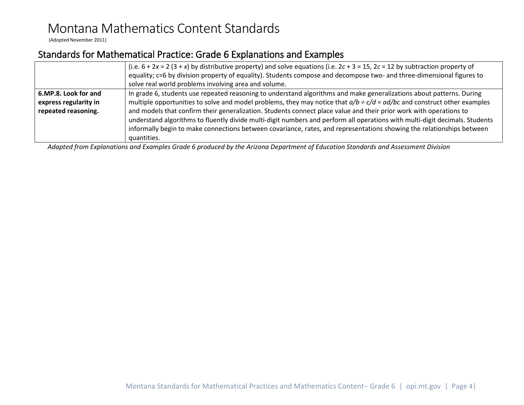(Adopted November 2011)

# Standards for Mathematical Practice: Grade 6 Explanations and Examples

|                       | (i.e. $6 + 2x = 2(3 + x)$ by distributive property) and solve equations (i.e. $2c + 3 = 15$ , $2c = 12$ by subtraction property of<br>equality; c=6 by division property of equality). Students compose and decompose two- and three-dimensional figures to |  |  |  |  |
|-----------------------|-------------------------------------------------------------------------------------------------------------------------------------------------------------------------------------------------------------------------------------------------------------|--|--|--|--|
|                       | solve real world problems involving area and volume.                                                                                                                                                                                                        |  |  |  |  |
| 6.MP.8. Look for and  | In grade 6, students use repeated reasoning to understand algorithms and make generalizations about patterns. During                                                                                                                                        |  |  |  |  |
| express regularity in | multiple opportunities to solve and model problems, they may notice that $a/b \div c/d = ad/bc$ and construct other examples                                                                                                                                |  |  |  |  |
| repeated reasoning.   | and models that confirm their generalization. Students connect place value and their prior work with operations to<br>understand algorithms to fluently divide multi-digit numbers and perform all operations with multi-digit decimals. Students           |  |  |  |  |
|                       | informally begin to make connections between covariance, rates, and representations showing the relationships between<br>quantities.                                                                                                                        |  |  |  |  |

*Adapted from Explanations and Examples Grade 6 produced by the Arizona Department of Education Standards and Assessment Division*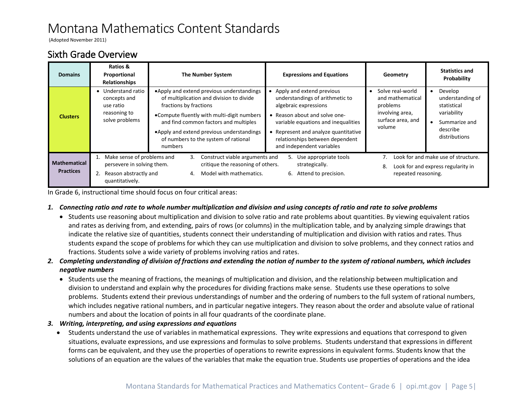(Adopted November 2011)

## <span id="page-4-0"></span>Sixth Grade Overview

| <b>Domains</b>                          | Ratios &<br>Proportional<br>Relationships                                                                                             | <b>The Number System</b>                                                                                                                                                                                                                              | <b>Expressions and Equations</b>                                                                                                                                                                  | Geometry                                                                                           | <b>Statistics and</b><br>Probability                                                                    |
|-----------------------------------------|---------------------------------------------------------------------------------------------------------------------------------------|-------------------------------------------------------------------------------------------------------------------------------------------------------------------------------------------------------------------------------------------------------|---------------------------------------------------------------------------------------------------------------------------------------------------------------------------------------------------|----------------------------------------------------------------------------------------------------|---------------------------------------------------------------------------------------------------------|
| <b>Clusters</b>                         | • Understand ratio<br>concepts and<br>use ratio<br>reasoning to<br>solve problems                                                     | • Apply and extend previous understandings<br>of multiplication and division to divide<br>fractions by fractions<br>•Compute fluently with multi-digit numbers<br>and find common factors and multiples<br>• Apply and extend previous understandings | Apply and extend previous<br>understandings of arithmetic to<br>algebraic expressions<br>Reason about and solve one-<br>variable equations and inequalities<br>Represent and analyze quantitative | Solve real-world<br>and mathematical<br>problems<br>involving area,<br>surface area, and<br>volume | Develop<br>understanding of<br>statistical<br>variability<br>Summarize and<br>describe<br>distributions |
|                                         |                                                                                                                                       | of numbers to the system of rational<br>numbers                                                                                                                                                                                                       | relationships between dependent<br>and independent variables                                                                                                                                      |                                                                                                    |                                                                                                         |
| <b>Mathematical</b><br><b>Practices</b> | Make sense of problems and<br>Construct viable arguments and<br>3.<br>persevere in solving them.<br>critique the reasoning of others. |                                                                                                                                                                                                                                                       | Use appropriate tools<br>strategically.                                                                                                                                                           | Look for and make use of structure.<br>Look for and express regularity in<br>8.                    |                                                                                                         |
|                                         | Reason abstractly and<br>quantitatively.                                                                                              | Model with mathematics.<br>4.                                                                                                                                                                                                                         | Attend to precision.<br>6.                                                                                                                                                                        | repeated reasoning.                                                                                |                                                                                                         |

In Grade 6, instructional time should focus on four critical areas:

### *1. Connecting ratio and rate to whole number multiplication and division and using concepts of ratio and rate to solve problems*

- Students use reasoning about multiplication and division to solve ratio and rate problems about quantities. By viewing equivalent ratios and rates as deriving from, and extending, pairs of rows (or columns) in the multiplication table, and by analyzing simple drawings that indicate the relative size of quantities, students connect their understanding of multiplication and division with ratios and rates. Thus students expand the scope of problems for which they can use multiplication and division to solve problems, and they connect ratios and fractions. Students solve a wide variety of problems involving ratios and rates.
- *2. Completing understanding of division of fractions and extending the notion of number to the system of rational numbers, which includes negative numbers* 
	- Students use the meaning of fractions, the meanings of multiplication and division, and the relationship between multiplication and division to understand and explain why the procedures for dividing fractions make sense. Students use these operations to solve problems. Students extend their previous understandings of number and the ordering of numbers to the full system of rational numbers, which includes negative rational numbers, and in particular negative integers. They reason about the order and absolute value of rational numbers and about the location of points in all four quadrants of the coordinate plane.
- *3. Writing, interpreting, and using expressions and equations*
	- Students understand the use of variables in mathematical expressions. They write expressions and equations that correspond to given situations, evaluate expressions, and use expressions and formulas to solve problems. Students understand that expressions in different forms can be equivalent, and they use the properties of operations to rewrite expressions in equivalent forms. Students know that the solutions of an equation are the values of the variables that make the equation true. Students use properties of operations and the idea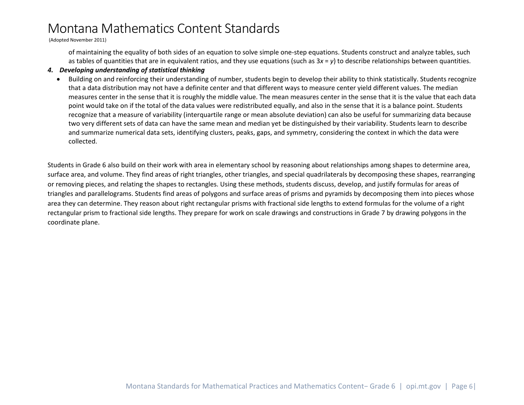(Adopted November 2011)

of maintaining the equality of both sides of an equation to solve simple one-step equations. Students construct and analyze tables, such as tables of quantities that are in equivalent ratios, and they use equations (such as 3*x* = *y*) to describe relationships between quantities.

#### *4. Developing understanding of statistical thinking*

• Building on and reinforcing their understanding of number, students begin to develop their ability to think statistically. Students recognize that a data distribution may not have a definite center and that different ways to measure center yield different values. The median measures center in the sense that it is roughly the middle value. The mean measures center in the sense that it is the value that each data point would take on if the total of the data values were redistributed equally, and also in the sense that it is a balance point. Students recognize that a measure of variability (interquartile range or mean absolute deviation) can also be useful for summarizing data because two very different sets of data can have the same mean and median yet be distinguished by their variability. Students learn to describe and summarize numerical data sets, identifying clusters, peaks, gaps, and symmetry, considering the context in which the data were collected.

Students in Grade 6 also build on their work with area in elementary school by reasoning about relationships among shapes to determine area, surface area, and volume. They find areas of right triangles, other triangles, and special quadrilaterals by decomposing these shapes, rearranging or removing pieces, and relating the shapes to rectangles. Using these methods, students discuss, develop, and justify formulas for areas of triangles and parallelograms. Students find areas of polygons and surface areas of prisms and pyramids by decomposing them into pieces whose area they can determine. They reason about right rectangular prisms with fractional side lengths to extend formulas for the volume of a right rectangular prism to fractional side lengths. They prepare for work on scale drawings and constructions in Grade 7 by drawing polygons in the coordinate plane.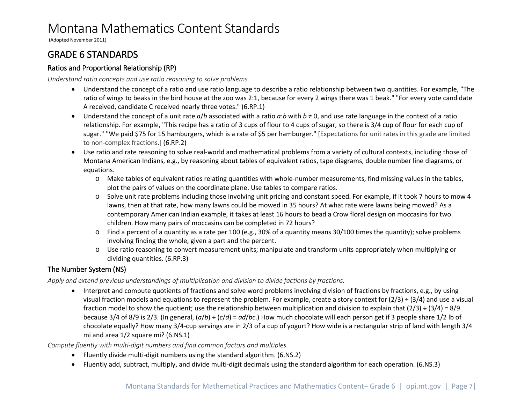(Adopted November 2011)

## <span id="page-6-0"></span>GRADE 6 STANDARDS

## <span id="page-6-1"></span>Ratios and Proportional Relationship (RP)

*Understand ratio concepts and use ratio reasoning to solve problems.*

- Understand the concept of a ratio and use ratio language to describe a ratio relationship between two quantities. For example, "The ratio of wings to beaks in the bird house at the zoo was 2:1, because for every 2 wings there was 1 beak." "For every vote candidate A received, candidate C received nearly three votes." (6.RP.1)
- Understand the concept of a unit rate *a*/*b* associated with a ratio *a*:*b* with *b* ≠ 0, and use rate language in the context of a ratio relationship. For example, "This recipe has a ratio of 3 cups of flour to 4 cups of sugar, so there is 3/4 cup of flour for each cup of sugar." "We paid \$75 for 15 hamburgers, which is a rate of \$5 per hamburger." [Expectations for unit rates in this grade are limited to non-complex fractions.] (6.RP.2)
- Use ratio and rate reasoning to solve real-world and mathematical problems from a variety of cultural contexts, including those of Montana American Indians, e.g., by reasoning about tables of equivalent ratios, tape diagrams, double number line diagrams, or equations.
	- o Make tables of equivalent ratios relating quantities with whole-number measurements, find missing values in the tables, plot the pairs of values on the coordinate plane. Use tables to compare ratios.
	- o Solve unit rate problems including those involving unit pricing and constant speed. For example, if it took 7 hours to mow 4 lawns, then at that rate, how many lawns could be mowed in 35 hours? At what rate were lawns being mowed? As a contemporary American Indian example, it takes at least 16 hours to bead a Crow floral design on moccasins for two children. How many pairs of moccasins can be completed in 72 hours?
	- o Find a percent of a quantity as a rate per 100 (e.g., 30% of a quantity means 30/100 times the quantity); solve problems involving finding the whole, given a part and the percent.
	- o Use ratio reasoning to convert measurement units; manipulate and transform units appropriately when multiplying or dividing quantities. (6.RP.3)

## <span id="page-6-2"></span>The Number System (NS)

*Apply and extend previous understandings of multiplication and division to divide factions by fractions.*

• Interpret and compute quotients of fractions and solve word problems involving division of fractions by fractions, e.g., by using visual fraction models and equations to represent the problem. For example, create a story context for  $(2/3) \div (3/4)$  and use a visual fraction model to show the quotient; use the relationship between multiplication and division to explain that  $(2/3) \div (3/4) = 8/9$ because 3/4 of 8/9 is 2/3. (In general, (*a*/*b*) ÷ (*c*/*d*) = *ad*/*bc*.) How much chocolate will each person get if 3 people share 1/2 lb of chocolate equally? How many 3/4-cup servings are in 2/3 of a cup of yogurt? How wide is a rectangular strip of land with length 3/4 mi and area 1/2 square mi? (6.NS.1)

*Compute fluently with multi-digit numbers and find common factors and multiples.*

- Fluently divide multi-digit numbers using the standard algorithm. (6.NS.2)
- Fluently add, subtract, multiply, and divide multi-digit decimals using the standard algorithm for each operation. (6.NS.3)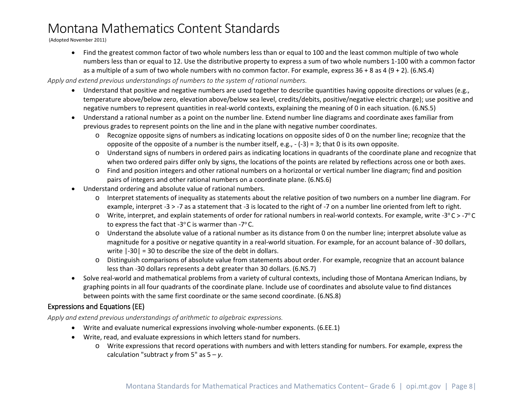(Adopted November 2011)

• Find the greatest common factor of two whole numbers less than or equal to 100 and the least common multiple of two whole numbers less than or equal to 12. Use the distributive property to express a sum of two whole numbers 1-100 with a common factor as a multiple of a sum of two whole numbers with no common factor. For example, express 36 + 8 as 4 (9 + 2). (6.NS.4)

#### *Apply and extend previous understandings of numbers to the system of rational numbers.*

- Understand that positive and negative numbers are used together to describe quantities having opposite directions or values (e.g., temperature above/below zero, elevation above/below sea level, credits/debits, positive/negative electric charge); use positive and negative numbers to represent quantities in real-world contexts, explaining the meaning of 0 in each situation. (6.NS.5)
- Understand a rational number as a point on the number line. Extend number line diagrams and coordinate axes familiar from previous grades to represent points on the line and in the plane with negative number coordinates.
	- $\circ$  Recognize opposite signs of numbers as indicating locations on opposite sides of 0 on the number line; recognize that the opposite of the opposite of a number is the number itself, e.g.,  $-(-3) = 3$ ; that 0 is its own opposite.
	- o Understand signs of numbers in ordered pairs as indicating locations in quadrants of the coordinate plane and recognize that when two ordered pairs differ only by signs, the locations of the points are related by reflections across one or both axes.
	- o Find and position integers and other rational numbers on a horizontal or vertical number line diagram; find and position pairs of integers and other rational numbers on a coordinate plane. (6.NS.6)
- Understand ordering and absolute value of rational numbers.
	- o Interpret statements of inequality as statements about the relative position of two numbers on a number line diagram. For example, interpret -3 > -7 as a statement that -3 is located to the right of -7 on a number line oriented from left to right.
	- $\circ$  Write, interpret, and explain statements of order for rational numbers in real-world contexts. For example, write -3 $\degree$ C > -7 $\degree$ C to express the fact that -3 $^{\circ}$ C is warmer than -7 $^{\circ}$ C.
	- o Understand the absolute value of a rational number as its distance from 0 on the number line; interpret absolute value as magnitude for a positive or negative quantity in a real-world situation. For example, for an account balance of -30 dollars, write  $|-30| = 30$  to describe the size of the debt in dollars.
	- o Distinguish comparisons of absolute value from statements about order. For example, recognize that an account balance less than -30 dollars represents a debt greater than 30 dollars. (6.NS.7)
- Solve real-world and mathematical problems from a variety of cultural contexts, including those of Montana American Indians, by graphing points in all four quadrants of the coordinate plane. Include use of coordinates and absolute value to find distances between points with the same first coordinate or the same second coordinate. (6.NS.8)

## <span id="page-7-0"></span>Expressions and Equations (EE)

*Apply and extend previous understandings of arithmetic to algebraic expressions.*

- Write and evaluate numerical expressions involving whole-number exponents. (6.EE.1)
- Write, read, and evaluate expressions in which letters stand for numbers.
	- o Write expressions that record operations with numbers and with letters standing for numbers. For example, express the calculation "subtract *y* from 5" as 5 – *y*.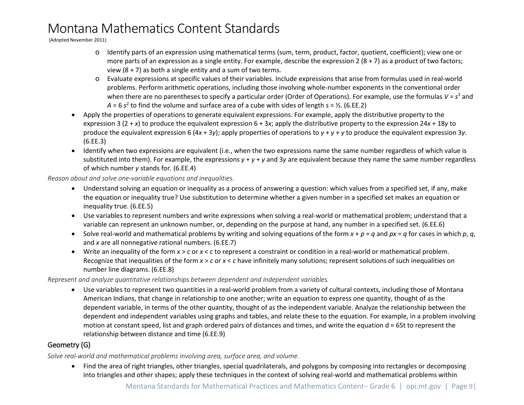(Adopted November 2011)

- o Identify parts of an expression using mathematical terms (sum, term, product, factor, quotient, coefficient); view one or more parts of an expression as a single entity. For example, describe the expression  $2(8 + 7)$  as a product of two factors; view  $(8 + 7)$  as both a single entity and a sum of two terms.
- o Evaluate expressions at specific values of their variables. Include expressions that arise from formulas used in real-world problems. Perform arithmetic operations, including those involving whole-number exponents in the conventional order when there are no parentheses to specify a particular order (Order of Operations). For example, use the formulas *V* = *s*<sup>3</sup> and  $A = 6 s<sup>2</sup>$  to find the volume and surface area of a cube with sides of length  $s = ½$ . (6.EE.2)
- Apply the properties of operations to generate equivalent expressions. For example, apply the distributive property to the expression 3 (2 + *x*) to produce the equivalent expression 6 + 3*x*; apply the distributive property to the expression 24*x* + 18*y* to produce the equivalent expression 6 (4*x* + 3*y*); apply properties of operations to *y* + *y* + *y* to produce the equivalent expression 3*y*. (6.EE.3)
- Identify when two expressions are equivalent (i.e., when the two expressions name the same number regardless of which value is substituted into them). For example, the expressions *y* + *y* + *y* and 3*y* are equivalent because they name the same number regardless of which number *y* stands for. (6.EE.4)

*Reason about and solve one-variable equations and inequalities.* 

- Understand solving an equation or inequality as a process of answering a question: which values from a specified set, if any, make the equation or inequality true? Use substitution to determine whether a given number in a specified set makes an equation or inequality true. (6.EE.5)
- Use variables to represent numbers and write expressions when solving a real-world or mathematical problem; understand that a variable can represent an unknown number, or, depending on the purpose at hand, any number in a specified set. (6.EE.6)
- Solve real-world and mathematical problems by writing and solving equations of the form  $x + p = q$  and  $px = q$  for cases in which p, q, and *x* are all nonnegative rational numbers. (6.EE.7)
- Write an inequality of the form *x* > *c* or *x* < *c* to represent a constraint or condition in a real-world or mathematical problem. Recognize that inequalities of the form *x* > *c* or *x* < *c* have infinitely many solutions; represent solutions of such inequalities on number line diagrams. (6.EE.8)

*Represent and analyze quantitative relationships between dependent and independent variables.*

• Use variables to represent two quantities in a real-world problem from a variety of cultural contexts, including those of Montana American Indians, that change in relationship to one another; write an equation to express one quantity, thought of as the dependent variable, in terms of the other quantity, thought of as the independent variable. Analyze the relationship between the dependent and independent variables using graphs and tables, and relate these to the equation. For example, in a problem involving motion at constant speed, list and graph ordered pairs of distances and times, and write the equation d = 65t to represent the relationship between distance and time (6.EE.9)

## <span id="page-8-0"></span>Geometry (G)

*Solve real-world and mathematical problems involving area, surface area, and volume.*

• Find the area of right triangles, other triangles, special quadrilaterals, and polygons by composing into rectangles or decomposing into triangles and other shapes; apply these techniques in the context of solving real-world and mathematical problems within